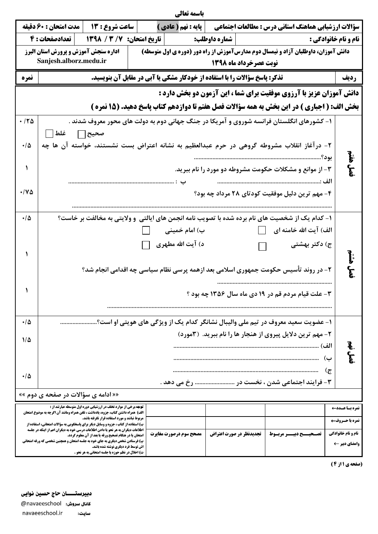| باسمه تعالى                                  |                                                                                                                                  |                                                                                                                                                                                                                                                 |  |                              |                         |                |                                                                                             |                             |  |  |  |  |
|----------------------------------------------|----------------------------------------------------------------------------------------------------------------------------------|-------------------------------------------------------------------------------------------------------------------------------------------------------------------------------------------------------------------------------------------------|--|------------------------------|-------------------------|----------------|---------------------------------------------------------------------------------------------|-----------------------------|--|--|--|--|
|                                              | مدت امتحان : 60 دقيقه                                                                                                            | ساعت شروع : 13                                                                                                                                                                                                                                  |  | <b>  پایه : نهم ( عادی )</b> |                         |                | سؤالات ارزشیابی هماهنگ استانی درس : مطالعات اجتماعی                                         |                             |  |  |  |  |
|                                              |                                                                                                                                  | شماره داوطلب:                 تاريخ امتحان:   7/ 2 / 1398       تعدادصفحات : 4                                                                                                                                                                  |  |                              |                         |                |                                                                                             | <b>نام و نام خانوادگی :</b> |  |  |  |  |
|                                              | <b>اداره سنجش آموزش و پرورش استان البرز</b><br>دانش آموزان، داوطلبان آزاد و نیمسال دوم مدارسآموزش از راه دور (دوره ی اول متوسطه) |                                                                                                                                                                                                                                                 |  |                              |                         |                |                                                                                             |                             |  |  |  |  |
|                                              | Sanjesh.alborz.medu.ir<br>نوبت عصرخرداد ماه ۱۳۹۸                                                                                 |                                                                                                                                                                                                                                                 |  |                              |                         |                |                                                                                             |                             |  |  |  |  |
| نمره                                         | <b>تذکر: پاسخ سؤالات را با استفاده از خودکار مشکی یا آبی در مقابل آن بنویسید.</b>                                                |                                                                                                                                                                                                                                                 |  |                              |                         |                |                                                                                             |                             |  |  |  |  |
|                                              |                                                                                                                                  |                                                                                                                                                                                                                                                 |  |                              |                         |                | دانش آموزان عزیز با آرزوی موفقیت برای شما ، این آزمون دو بخش دارد :                         |                             |  |  |  |  |
|                                              |                                                                                                                                  |                                                                                                                                                                                                                                                 |  |                              |                         |                | بخش الف: ( اجباري ) در اين بخش به همه سؤالات فصل هفتم تا دوازدهم كتاب پاسخ دهيد. (15 نمره ) |                             |  |  |  |  |
| .170                                         |                                                                                                                                  |                                                                                                                                                                                                                                                 |  |                              |                         |                | ۱- کشورهای انگلستان فرانسه شوروی و آمریکا در جنگ جهانی دوم به دولت های محور معروف شدند .    |                             |  |  |  |  |
|                                              | صحيح∏ غلط ∏                                                                                                                      |                                                                                                                                                                                                                                                 |  |                              |                         |                |                                                                                             |                             |  |  |  |  |
| ه/۰                                          |                                                                                                                                  |                                                                                                                                                                                                                                                 |  |                              |                         |                | ۲- درآغاز انقلاب مشروطه گروهی در حرم عبدالعظیم به نشانه اعتراض بست نشستند، خواسته آن ها چه  |                             |  |  |  |  |
|                                              |                                                                                                                                  |                                                                                                                                                                                                                                                 |  |                              |                         |                | بود؟                                                                                        | لا:<br>الم                  |  |  |  |  |
| ١                                            |                                                                                                                                  |                                                                                                                                                                                                                                                 |  |                              |                         |                | ۳- از موانع و مشکلات حکومت مشروطه دو مورد را نام ببرید.                                     | و<br>گ                      |  |  |  |  |
| ۱۷۵                                          |                                                                                                                                  |                                                                                                                                                                                                                                                 |  |                              |                         |                |                                                                                             |                             |  |  |  |  |
|                                              |                                                                                                                                  |                                                                                                                                                                                                                                                 |  |                              |                         |                | ۴- مهم ترین دلیل موفقیت کودتای ۲۸ مرداد چه بود؟                                             |                             |  |  |  |  |
| ۰۱۵                                          | ۱- کدام یک از شخصیت های نام برده شده با تصویب نامه انجمن های ایالتی و ولایتی به مخالفت بر خاست؟                                  |                                                                                                                                                                                                                                                 |  |                              |                         |                |                                                                                             |                             |  |  |  |  |
|                                              |                                                                                                                                  |                                                                                                                                                                                                                                                 |  | ب) امام خمینی                |                         | $\mathbb{R}^n$ | الف) آیت الله خامنه ای                                                                      |                             |  |  |  |  |
|                                              |                                                                                                                                  |                                                                                                                                                                                                                                                 |  | د) آیت الله مطهری            |                         | $\Box$         | ج) دکتر بهشتی                                                                               |                             |  |  |  |  |
|                                              |                                                                                                                                  |                                                                                                                                                                                                                                                 |  |                              |                         |                |                                                                                             |                             |  |  |  |  |
|                                              |                                                                                                                                  |                                                                                                                                                                                                                                                 |  |                              |                         |                | ۲- در روند تأسیس حکومت جمهوری اسلامی بعد ازهمه پرسی نظام سیاسی چه اقدامی انجام شد؟          | و.<br>مح                    |  |  |  |  |
|                                              |                                                                                                                                  |                                                                                                                                                                                                                                                 |  |                              |                         |                |                                                                                             |                             |  |  |  |  |
|                                              |                                                                                                                                  |                                                                                                                                                                                                                                                 |  |                              |                         |                | ۳- علت قیام مردم قم در ۱۹ دی ماه سال ۱۳۵۶ چه بود ؟                                          |                             |  |  |  |  |
|                                              |                                                                                                                                  |                                                                                                                                                                                                                                                 |  |                              |                         |                |                                                                                             |                             |  |  |  |  |
| ۰۱۵                                          |                                                                                                                                  |                                                                                                                                                                                                                                                 |  |                              |                         |                | ۱- عضویت سعید معروف در تیم ملی والیبال نشانگر کدام یک از ویژگی های هویتی او است؟            |                             |  |  |  |  |
| 115                                          |                                                                                                                                  |                                                                                                                                                                                                                                                 |  |                              |                         |                | ۲- مهم ترین دلایل پیروی از هنجار ها را نام ببرید. (۳مورد)                                   |                             |  |  |  |  |
|                                              |                                                                                                                                  |                                                                                                                                                                                                                                                 |  |                              |                         |                |                                                                                             | الف)                        |  |  |  |  |
|                                              |                                                                                                                                  | Ĕ<br>ب)                                                                                                                                                                                                                                         |  |                              |                         |                |                                                                                             |                             |  |  |  |  |
| ۰۱۵                                          |                                                                                                                                  |                                                                                                                                                                                                                                                 |  |                              |                         |                |                                                                                             | ج)                          |  |  |  |  |
| ٣- فرایند اجتماعی شدن ، نخست در  رخ می دهد . |                                                                                                                                  |                                                                                                                                                                                                                                                 |  |                              |                         |                |                                                                                             |                             |  |  |  |  |
|                                              |                                                                                                                                  | «« ادامه ی سؤالات در صفحه ی دوم »»                                                                                                                                                                                                              |  |                              |                         |                |                                                                                             |                             |  |  |  |  |
|                                              |                                                                                                                                  | <b>توجه برخی از موارد تخلف در ارزشیابی دوره اول متوسطه عبارتند از :</b><br>الف) همراه داشتن کتاب، جزوه، یادداشت ، تلفن همراه ومانند آن اگرچه به موضوع امتحان                                                                                    |  |                              |                         |                |                                                                                             | نمرہ بسا عسدت               |  |  |  |  |
|                                              |                                                                                                                                  | مربوط نباشد و مورد استفاده قرار نگرفته باشد.<br>ب) استفاده از کتاب ، جزوه و وسایل دیگر برای پاسخگویی به سؤالات امتحانی، استفاده از                                                                                                              |  |                              |                         |                |                                                                                             | نمرہ با حـروف←              |  |  |  |  |
|                                              |                                                                                                                                  | <b>اطلاعات دیگران به هر نحو یا دادن اطلاعات درسی خود به دیگران اعم از اینکه در جلسه</b><br><b>امتحان یا در هنگام تصحیح ورقه یا بعد از آن معلوم گردد.</b><br><b>ب) فرستادن شخص دیگری به جای خود به جلسه امتحان و همچنین شخصی که ورقه امتحانی</b> |  | مصحح سوم درصورت مغايرت       | تجدیدنظر در صورت اعتراض |                | تصسحيسسح دبيسسر مربسوط                                                                      | <b>نام و نام خانوادگی</b>   |  |  |  |  |
|                                              |                                                                                                                                  | اش توسط فرد دیگری نوشته شده باشد.<br>ت) اخلال در نظم حوزه یا جلسه امتحانی به هر نحو .                                                                                                                                                           |  |                              |                         |                |                                                                                             | وامضای دبیر ←               |  |  |  |  |
|                                              |                                                                                                                                  |                                                                                                                                                                                                                                                 |  |                              |                         |                |                                                                                             |                             |  |  |  |  |

(صفحه ی 1 از 4)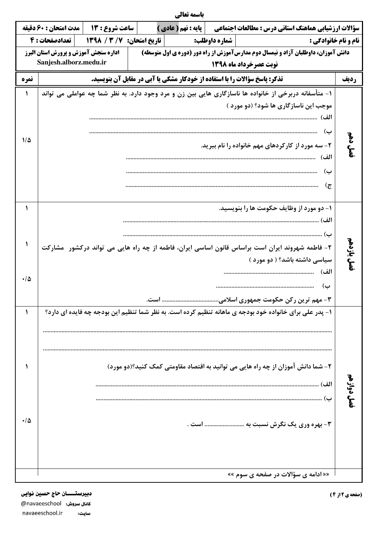|            |                                                                                                                                           |                                                            | باسمه تعالى                  |  |                |                                                                |                |  |  |
|------------|-------------------------------------------------------------------------------------------------------------------------------------------|------------------------------------------------------------|------------------------------|--|----------------|----------------------------------------------------------------|----------------|--|--|
|            | سؤالات ارزشیابی هماهنگ استانی درس : مطالعات اجتماعی                                                                                       |                                                            | <b>] يايه : نهم ( عادي )</b> |  | ساعت شروع : 13 | مدت امتحان : 60 دقيقه                                          |                |  |  |
|            | <b>نام و نام خانوادگی :</b>                                                                                                               | تعدادصفحات : 4<br>تاريخ امتحان: 138 / 139<br>شماره داوطلب: |                              |  |                |                                                                |                |  |  |
|            | دانش آموزان، داوطلبان آزاد و نیمسال دوم مدارسآموزش از راه دور (دوره ی اول متوسطه)<br>نوبت عصرخرداد ماه ۱۳۹۸                               |                                                            |                              |  |                | اداره سنجش آموزش و پرورش استان البرز<br>Sanjesh.alborz.medu.ir |                |  |  |
| رديف       | تذکر: پاسخ سؤالات را با استفاده از خودکار مشکی یا آبی در مقابل آن بنویسید.                                                                |                                                            |                              |  |                |                                                                | نمره           |  |  |
|            | ۱- متأسفانه دربرخی از خانواده ها ناسازگاری هایی بین زن و مرد وجود دارد. به نظر شما چه عواملی می تواند                                     |                                                            |                              |  |                |                                                                | ١              |  |  |
|            | موجب این ناسازگاری ها شود؟ (دو مورد )<br>الف)                                                                                             |                                                            |                              |  |                |                                                                |                |  |  |
| فصل دهم    | ب)<br>۲- سه مورد از کارکردهای مهم خانواده را نام ببرید.<br>الف)                                                                           |                                                            |                              |  |                |                                                                | $1/\Delta$     |  |  |
|            | ب)<br>ج)                                                                                                                                  |                                                            |                              |  |                |                                                                |                |  |  |
|            | ۱- دو مورد از وظايف حکومت ها را بنويسيد.<br>الف)<br>ب)                                                                                    |                                                            |                              |  |                |                                                                | ١              |  |  |
| فصل يازدهم | ۲- فاطمه شهروند ایران است براساس قانون اساسی ایران، فاطمه از چه راه هایی می تواند درکشور ًمشارکت<br>سیاسی داشته باشد؟ ( دو مورد )<br>الف) |                                                            |                              |  |                |                                                                | $\cdot/\Delta$ |  |  |
|            | ب)<br>٣- مهم ترین رکن حکومت جمهوری اسلامی است.                                                                                            |                                                            |                              |  |                |                                                                |                |  |  |
|            | ۱- پدر علی برای خانواده خود بودجه ی ماهانه تنظیم کرده است. به نظر شما تنظیم این بودجه چه فایده ای دارد؟                                   |                                                            |                              |  |                |                                                                |                |  |  |
| فصل دوازهه | ۲- شما دانش آموزان از چه راه هایی می توانید به اقتصاد مقاومتی کمک کنید؟(دو مورد)                                                          |                                                            |                              |  |                |                                                                |                |  |  |
|            | ب (پ<br>۳- بهره وری یک نگرش نسبت به  است .                                                                                                |                                                            |                              |  |                |                                                                | ه/۰            |  |  |
|            | «« ادامه ی سؤالات در صفحه ی سوم »»                                                                                                        |                                                            |                              |  |                |                                                                |                |  |  |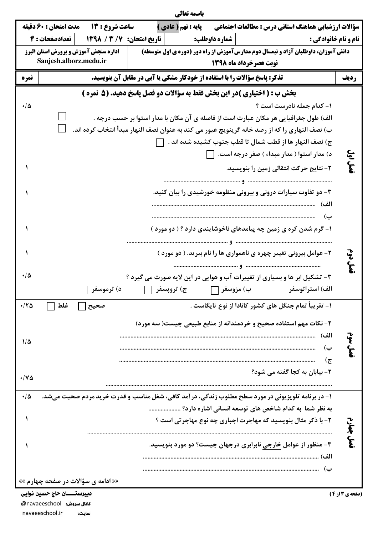| مدت امتحان : 60 دقيقه<br>ساعت شروع : 13<br>یایه : نهم ( عادی )<br>سؤالات ارزشیابی هماهنگ استانی درس : مطالعات اجتماعی<br>  تعدادصفحات : 4<br>تاريخ امتحان: 138 / 1398<br>شماره داوطلب:<br><b>نام و نام خانوادگی :</b><br><b>اداره سنجش آموزش و پرورش استان البرز</b><br>دانش آموزان، داوطلبان آزاد و نیمسال دوم مدارسآموزش از راه دور (دوره ی اول متوسطه)<br>Sanjesh.alborz.medu.ir<br>نوبت عصرخرداد ماه ۱۳۹۸<br>تذکر: پاسخ سؤالات را با استفاده از خودکار مشکی یا آبی در مقابل آن بنویسید.<br>نمره<br>رديف<br>بخش ب : ( اختیاری )در این بخش فقط به سؤالات دو فصل پاسخ دهید. (5 نمره )<br>۱- کدام جمله نادرست است ؟<br>ه/۰<br>الف) طول جغرافیایی هر مکان عبارت است از فاصله ی آن مکان با مدار استوا بر حسب درجه .<br>ب) نصف النهاري را كه از رصد خانه گرينويچ عبور مي كند به عنوان نصف النهار مبدأ انتخاب كرده اند.<br>ج) نصف النهار ها از قطب شمال تا قطب جنوب كشيده شده اند .<br>فصل اول<br>د) مدار استوا ( مدار مبداء ) صفر درجه است.<br>۲- نتایج حرکت انتقالی زمین را بنویسید.<br>۳- دو تفاوت سیارات درونی و بیرونی منظومه خورشیدی را بیان کنید.<br>الف)<br>ب)<br>۱- گرم شدن کره ی زمین چه پیامدهای ناخوشایندی دارد ؟ ( دو مورد )<br>قصل دوم<br>۲- عوامل بیرونی تغییر چهره ی ناهمواری ها را نام ببرید. ( دو مورد )<br>ه/۰<br>۳- تشکیل ابر ها و بسیاری از تغییرات آب و هوایی در این لایه صورت می گیرد ؟<br>ج) تروپسفر    <br>ب) مزوسفر ∏<br>الف) استراتوسفر [[[<br>د) ترموسفر<br>۱– تقریباً تمام جنگل های کشور کانادا از نوع تایگاست .<br>۱۲۵.<br>غلط<br>۲- نکات مهم استفاده صحیح و خردمندانه از منابع طبیعی چیست( سه مورد)<br>الف)<br>$\mathbf{F}$<br>115<br>ب)<br>ج)<br>۲- بیابان به کجا گفته می شود؟<br>۱۷۵<br>۱- در برنامه تلویزیونی در مورد سطح مطلوب زندگی، در آمد کافی، شغل مناسب و قدرت خرید مردم صحبت میشد.<br>۰۱۵<br>به نظر شما ً به کدام شاخص های توسعه انسانی اشاره دارد؟<br>١<br>۲- با ذکر مثال بنویسید که مهاجرت اجباری چه نوع مهاجر تی است ؟<br>فصل چهارم<br>۳- منظور از عوامل خارجی نابرابری درجهان چیست؟ دو مورد بنویسید.<br>الف)<br>ب) |  |  | باسمه تعالى |  |  |  |  |
|-------------------------------------------------------------------------------------------------------------------------------------------------------------------------------------------------------------------------------------------------------------------------------------------------------------------------------------------------------------------------------------------------------------------------------------------------------------------------------------------------------------------------------------------------------------------------------------------------------------------------------------------------------------------------------------------------------------------------------------------------------------------------------------------------------------------------------------------------------------------------------------------------------------------------------------------------------------------------------------------------------------------------------------------------------------------------------------------------------------------------------------------------------------------------------------------------------------------------------------------------------------------------------------------------------------------------------------------------------------------------------------------------------------------------------------------------------------------------------------------------------------------------------------------------------------------------------------------------------------------------------------------------------------------------------------------------------------------------------------------------------------------------------------------------------------------------------------------------------------------------------------------------------------------------------------------------------------|--|--|-------------|--|--|--|--|
|                                                                                                                                                                                                                                                                                                                                                                                                                                                                                                                                                                                                                                                                                                                                                                                                                                                                                                                                                                                                                                                                                                                                                                                                                                                                                                                                                                                                                                                                                                                                                                                                                                                                                                                                                                                                                                                                                                                                                             |  |  |             |  |  |  |  |
|                                                                                                                                                                                                                                                                                                                                                                                                                                                                                                                                                                                                                                                                                                                                                                                                                                                                                                                                                                                                                                                                                                                                                                                                                                                                                                                                                                                                                                                                                                                                                                                                                                                                                                                                                                                                                                                                                                                                                             |  |  |             |  |  |  |  |
|                                                                                                                                                                                                                                                                                                                                                                                                                                                                                                                                                                                                                                                                                                                                                                                                                                                                                                                                                                                                                                                                                                                                                                                                                                                                                                                                                                                                                                                                                                                                                                                                                                                                                                                                                                                                                                                                                                                                                             |  |  |             |  |  |  |  |
|                                                                                                                                                                                                                                                                                                                                                                                                                                                                                                                                                                                                                                                                                                                                                                                                                                                                                                                                                                                                                                                                                                                                                                                                                                                                                                                                                                                                                                                                                                                                                                                                                                                                                                                                                                                                                                                                                                                                                             |  |  |             |  |  |  |  |
|                                                                                                                                                                                                                                                                                                                                                                                                                                                                                                                                                                                                                                                                                                                                                                                                                                                                                                                                                                                                                                                                                                                                                                                                                                                                                                                                                                                                                                                                                                                                                                                                                                                                                                                                                                                                                                                                                                                                                             |  |  |             |  |  |  |  |
|                                                                                                                                                                                                                                                                                                                                                                                                                                                                                                                                                                                                                                                                                                                                                                                                                                                                                                                                                                                                                                                                                                                                                                                                                                                                                                                                                                                                                                                                                                                                                                                                                                                                                                                                                                                                                                                                                                                                                             |  |  |             |  |  |  |  |
|                                                                                                                                                                                                                                                                                                                                                                                                                                                                                                                                                                                                                                                                                                                                                                                                                                                                                                                                                                                                                                                                                                                                                                                                                                                                                                                                                                                                                                                                                                                                                                                                                                                                                                                                                                                                                                                                                                                                                             |  |  |             |  |  |  |  |
|                                                                                                                                                                                                                                                                                                                                                                                                                                                                                                                                                                                                                                                                                                                                                                                                                                                                                                                                                                                                                                                                                                                                                                                                                                                                                                                                                                                                                                                                                                                                                                                                                                                                                                                                                                                                                                                                                                                                                             |  |  |             |  |  |  |  |
|                                                                                                                                                                                                                                                                                                                                                                                                                                                                                                                                                                                                                                                                                                                                                                                                                                                                                                                                                                                                                                                                                                                                                                                                                                                                                                                                                                                                                                                                                                                                                                                                                                                                                                                                                                                                                                                                                                                                                             |  |  |             |  |  |  |  |
|                                                                                                                                                                                                                                                                                                                                                                                                                                                                                                                                                                                                                                                                                                                                                                                                                                                                                                                                                                                                                                                                                                                                                                                                                                                                                                                                                                                                                                                                                                                                                                                                                                                                                                                                                                                                                                                                                                                                                             |  |  |             |  |  |  |  |
|                                                                                                                                                                                                                                                                                                                                                                                                                                                                                                                                                                                                                                                                                                                                                                                                                                                                                                                                                                                                                                                                                                                                                                                                                                                                                                                                                                                                                                                                                                                                                                                                                                                                                                                                                                                                                                                                                                                                                             |  |  |             |  |  |  |  |
|                                                                                                                                                                                                                                                                                                                                                                                                                                                                                                                                                                                                                                                                                                                                                                                                                                                                                                                                                                                                                                                                                                                                                                                                                                                                                                                                                                                                                                                                                                                                                                                                                                                                                                                                                                                                                                                                                                                                                             |  |  |             |  |  |  |  |
|                                                                                                                                                                                                                                                                                                                                                                                                                                                                                                                                                                                                                                                                                                                                                                                                                                                                                                                                                                                                                                                                                                                                                                                                                                                                                                                                                                                                                                                                                                                                                                                                                                                                                                                                                                                                                                                                                                                                                             |  |  |             |  |  |  |  |
|                                                                                                                                                                                                                                                                                                                                                                                                                                                                                                                                                                                                                                                                                                                                                                                                                                                                                                                                                                                                                                                                                                                                                                                                                                                                                                                                                                                                                                                                                                                                                                                                                                                                                                                                                                                                                                                                                                                                                             |  |  |             |  |  |  |  |
|                                                                                                                                                                                                                                                                                                                                                                                                                                                                                                                                                                                                                                                                                                                                                                                                                                                                                                                                                                                                                                                                                                                                                                                                                                                                                                                                                                                                                                                                                                                                                                                                                                                                                                                                                                                                                                                                                                                                                             |  |  |             |  |  |  |  |
|                                                                                                                                                                                                                                                                                                                                                                                                                                                                                                                                                                                                                                                                                                                                                                                                                                                                                                                                                                                                                                                                                                                                                                                                                                                                                                                                                                                                                                                                                                                                                                                                                                                                                                                                                                                                                                                                                                                                                             |  |  |             |  |  |  |  |
|                                                                                                                                                                                                                                                                                                                                                                                                                                                                                                                                                                                                                                                                                                                                                                                                                                                                                                                                                                                                                                                                                                                                                                                                                                                                                                                                                                                                                                                                                                                                                                                                                                                                                                                                                                                                                                                                                                                                                             |  |  |             |  |  |  |  |
|                                                                                                                                                                                                                                                                                                                                                                                                                                                                                                                                                                                                                                                                                                                                                                                                                                                                                                                                                                                                                                                                                                                                                                                                                                                                                                                                                                                                                                                                                                                                                                                                                                                                                                                                                                                                                                                                                                                                                             |  |  |             |  |  |  |  |
|                                                                                                                                                                                                                                                                                                                                                                                                                                                                                                                                                                                                                                                                                                                                                                                                                                                                                                                                                                                                                                                                                                                                                                                                                                                                                                                                                                                                                                                                                                                                                                                                                                                                                                                                                                                                                                                                                                                                                             |  |  |             |  |  |  |  |
|                                                                                                                                                                                                                                                                                                                                                                                                                                                                                                                                                                                                                                                                                                                                                                                                                                                                                                                                                                                                                                                                                                                                                                                                                                                                                                                                                                                                                                                                                                                                                                                                                                                                                                                                                                                                                                                                                                                                                             |  |  |             |  |  |  |  |
|                                                                                                                                                                                                                                                                                                                                                                                                                                                                                                                                                                                                                                                                                                                                                                                                                                                                                                                                                                                                                                                                                                                                                                                                                                                                                                                                                                                                                                                                                                                                                                                                                                                                                                                                                                                                                                                                                                                                                             |  |  |             |  |  |  |  |
|                                                                                                                                                                                                                                                                                                                                                                                                                                                                                                                                                                                                                                                                                                                                                                                                                                                                                                                                                                                                                                                                                                                                                                                                                                                                                                                                                                                                                                                                                                                                                                                                                                                                                                                                                                                                                                                                                                                                                             |  |  |             |  |  |  |  |
|                                                                                                                                                                                                                                                                                                                                                                                                                                                                                                                                                                                                                                                                                                                                                                                                                                                                                                                                                                                                                                                                                                                                                                                                                                                                                                                                                                                                                                                                                                                                                                                                                                                                                                                                                                                                                                                                                                                                                             |  |  |             |  |  |  |  |
| «« ادامه ی سؤالات در صفحه چهارم »»                                                                                                                                                                                                                                                                                                                                                                                                                                                                                                                                                                                                                                                                                                                                                                                                                                                                                                                                                                                                                                                                                                                                                                                                                                                                                                                                                                                                                                                                                                                                                                                                                                                                                                                                                                                                                                                                                                                          |  |  |             |  |  |  |  |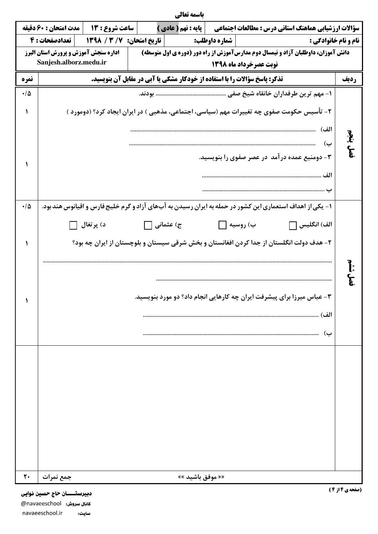|                                               |                                                                                                                           |                                                                                                          |                                                                                   | باسمه تعالى                                                            |  |                        |  |                                                     |                |
|-----------------------------------------------|---------------------------------------------------------------------------------------------------------------------------|----------------------------------------------------------------------------------------------------------|-----------------------------------------------------------------------------------|------------------------------------------------------------------------|--|------------------------|--|-----------------------------------------------------|----------------|
|                                               | مدت امتحان : 60 دقيقه                                                                                                     | ساعت شروع : 13                                                                                           |                                                                                   | <b>] پایه : نهم ( عادی )</b>                                           |  |                        |  | سؤالات ارزشیابی هماهنگ استانی درس : مطالعات اجتماعی |                |
| تاريخ امتحان: 13/ 3/ 1398<br>  تعدادصفحات : 4 |                                                                                                                           |                                                                                                          | شماره داوطلب:<br><b>نام و نام خانوادگی :</b>                                      |                                                                        |  |                        |  |                                                     |                |
|                                               | اداره سنجش آموزش و پرورش استان البرز<br>دانش آموزان، داوطلبان آزاد و نیمسال دوم مدارسآموزش از راه دور (دوره ی اول متوسطه) |                                                                                                          |                                                                                   |                                                                        |  |                        |  |                                                     |                |
|                                               | Sanjesh.alborz.medu.ir                                                                                                    |                                                                                                          |                                                                                   |                                                                        |  | نوبت عصرخرداد ماه ۱۳۹۸ |  |                                                     |                |
| نمره                                          |                                                                                                                           |                                                                                                          | <b>تذکر: پاسخ سؤالات را با استفاده از خودکار مشکی یا آبی در مقابل آن بنویسید.</b> |                                                                        |  |                        |  |                                                     | رديف           |
| $\cdot/\Delta$                                |                                                                                                                           |                                                                                                          |                                                                                   |                                                                        |  |                        |  |                                                     |                |
| ١                                             |                                                                                                                           | ۲- تأسیس حکومت صفوی چه تغییرات مهم (سیاسی، اجتماعی، مذهبی ) در ایران ایجاد کرد؟ (دومورد )                |                                                                                   |                                                                        |  |                        |  |                                                     |                |
|                                               |                                                                                                                           |                                                                                                          |                                                                                   |                                                                        |  |                        |  |                                                     | الف)           |
|                                               |                                                                                                                           |                                                                                                          |                                                                                   |                                                                        |  |                        |  |                                                     | فصل پنجم<br>ب) |
| ١                                             |                                                                                                                           |                                                                                                          |                                                                                   |                                                                        |  |                        |  | ۳- دومنبع عمده درآمد ً در عصر صفوی را بنویسید.      |                |
|                                               |                                                                                                                           |                                                                                                          |                                                                                   |                                                                        |  |                        |  |                                                     |                |
|                                               |                                                                                                                           |                                                                                                          |                                                                                   |                                                                        |  |                        |  |                                                     |                |
| $\cdot/\Delta$                                |                                                                                                                           | ۱– یکی از اهداف استعماری این کشور در حمله به ایران رسیدن به آبهای آزاد و گرم خلیج فارس و اقیانوس هندبود. |                                                                                   |                                                                        |  |                        |  |                                                     |                |
|                                               |                                                                                                                           |                                                                                                          |                                                                                   |                                                                        |  |                        |  |                                                     |                |
|                                               |                                                                                                                           | د) پرتغال                                                                                                | ج) عثمانی ∏                                                                       |                                                                        |  | ب) روسیه               |  | الف) انگلیس $\Box$                                  |                |
| ١                                             |                                                                                                                           | ۲- هدف دولت انگلستان از جدا کردن افغانستان و بخش شرقی سیستان و بلوچستان از ایران چه بود؟                 |                                                                                   |                                                                        |  |                        |  |                                                     |                |
|                                               |                                                                                                                           |                                                                                                          |                                                                                   |                                                                        |  |                        |  |                                                     |                |
|                                               |                                                                                                                           |                                                                                                          |                                                                                   |                                                                        |  |                        |  |                                                     | יווי<br>יווני  |
|                                               |                                                                                                                           |                                                                                                          |                                                                                   |                                                                        |  |                        |  |                                                     | و<br>مح        |
| ١                                             |                                                                                                                           |                                                                                                          |                                                                                   | ۳- عباس میرزا برای پیشرفت ایران چه کارهایی انجام داد؟ دو مورد بنویسید. |  |                        |  |                                                     |                |
|                                               |                                                                                                                           |                                                                                                          |                                                                                   |                                                                        |  |                        |  | الف)                                                |                |
|                                               |                                                                                                                           |                                                                                                          |                                                                                   |                                                                        |  |                        |  |                                                     |                |
|                                               |                                                                                                                           |                                                                                                          |                                                                                   |                                                                        |  |                        |  |                                                     | ب)             |
|                                               |                                                                                                                           |                                                                                                          |                                                                                   |                                                                        |  |                        |  |                                                     |                |
|                                               |                                                                                                                           |                                                                                                          |                                                                                   |                                                                        |  |                        |  |                                                     |                |
|                                               |                                                                                                                           |                                                                                                          |                                                                                   |                                                                        |  |                        |  |                                                     |                |
|                                               |                                                                                                                           |                                                                                                          |                                                                                   |                                                                        |  |                        |  |                                                     |                |
|                                               |                                                                                                                           |                                                                                                          |                                                                                   |                                                                        |  |                        |  |                                                     |                |
|                                               |                                                                                                                           |                                                                                                          |                                                                                   |                                                                        |  |                        |  |                                                     |                |
|                                               |                                                                                                                           |                                                                                                          |                                                                                   |                                                                        |  |                        |  |                                                     |                |
|                                               |                                                                                                                           |                                                                                                          |                                                                                   |                                                                        |  |                        |  |                                                     |                |
|                                               |                                                                                                                           |                                                                                                          |                                                                                   |                                                                        |  |                        |  |                                                     |                |
| ٢٠                                            | جمع نمرات                                                                                                                 |                                                                                                          |                                                                                   | «« موفق باشید »»                                                       |  |                        |  |                                                     |                |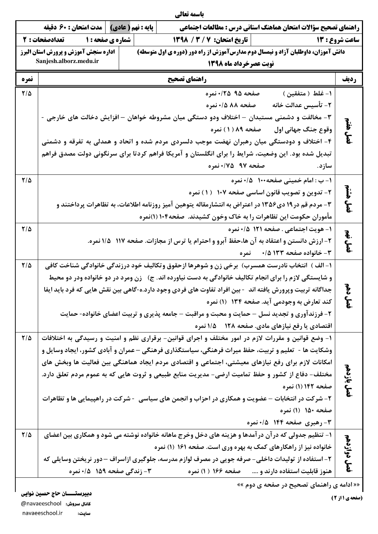|            |                                                                                                                           |  |                                  |  | باسمه تعالى                                                                                                                                                                                                       |                                      |                         |  |  |  |  |
|------------|---------------------------------------------------------------------------------------------------------------------------|--|----------------------------------|--|-------------------------------------------------------------------------------------------------------------------------------------------------------------------------------------------------------------------|--------------------------------------|-------------------------|--|--|--|--|
|            | پایه : نهم ( عادی)   مدت امتحان : 60 دقیقه                                                                                |  |                                  |  | راهنمای تصحیح سؤالات امتحان هماهنگ استانی درس : مطالعات اجتماعی                                                                                                                                                   |                                      |                         |  |  |  |  |
|            | شماره ی صفحه : ۱             تعدادصفحات : ۲<br>  تاريخ امتحان: 7 / 3 / 1398<br>ساعت شروع : 13                             |  |                                  |  |                                                                                                                                                                                                                   |                                      |                         |  |  |  |  |
|            | اداره سنجش آموزش و پرورش استان البرز<br>دانش آموزان، داوطلبان آزاد و نیمسال دوم مدارسآموزش از راه دور (دوره ی اول متوسطه) |  |                                  |  |                                                                                                                                                                                                                   |                                      |                         |  |  |  |  |
|            | Sanjesh.alborz.medu.ir<br>نوبت عصرخرداد ماه ۱۳۹۸                                                                          |  |                                  |  |                                                                                                                                                                                                                   |                                      |                         |  |  |  |  |
| نمره       | راهنماي تصحيح                                                                                                             |  |                                  |  |                                                                                                                                                                                                                   |                                      |                         |  |  |  |  |
| $7/\Delta$ |                                                                                                                           |  |                                  |  | صفحه ۹۵ ۲۵/۰ نمره                                                                                                                                                                                                 | ۱– غلط(متفقین)                       |                         |  |  |  |  |
|            |                                                                                                                           |  |                                  |  | صفحه 88 1/0 نمره                                                                                                                                                                                                  | ٢- تأسيس عدالت خانه                  |                         |  |  |  |  |
|            |                                                                                                                           |  |                                  |  | ۳- مخالفت و دشمنی مستبدان – اختلاف ودو دستگی میان مشروطه خواهان – افزایش دخالت های خارجی -                                                                                                                        |                                      | ર<br>કુઃ                |  |  |  |  |
|            |                                                                                                                           |  |                                  |  | صفحه ۸۹ ( ۱ ) نمره                                                                                                                                                                                                | وقوع جنگ جهانی اول                   | و.<br>م                 |  |  |  |  |
|            |                                                                                                                           |  |                                  |  | ۴- اختلاف و دودستگی میان رهبران نهضت موجب دلسردی مردم شده و اتحاد و همدلی به تفرقه و دشمنی                                                                                                                        |                                      |                         |  |  |  |  |
|            |                                                                                                                           |  |                                  |  | تبدیل شده بود. این وضعیت، شرایط را برای انگلستان و آمریکا فراهم کردتا برای سرنگونی دولت مصدق فراهم                                                                                                                |                                      |                         |  |  |  |  |
|            |                                                                                                                           |  |                                  |  |                                                                                                                                                                                                                   |                                      |                         |  |  |  |  |
| $7/\Delta$ |                                                                                                                           |  |                                  |  |                                                                                                                                                                                                                   | ١- ب: امام خمينى صفحه ١٠٠ ه/٠ نمره   |                         |  |  |  |  |
|            |                                                                                                                           |  |                                  |  | ۲- تدوین و تصویب قانون اساسی صفحه ۱۰۷٪ ( ۱) نمره                                                                                                                                                                  |                                      | مان<br>مان              |  |  |  |  |
|            |                                                                                                                           |  |                                  |  | ۳- مردم قم در ۱۹ دی۱۳۵۶ در اعتراض به انتشارمقاله یتوهین آمیز روزنامه اطلاعات، به تظاهرات پرداختند و                                                                                                               |                                      | و.<br>مح                |  |  |  |  |
|            |                                                                                                                           |  |                                  |  | مأموران حکومت این تظاهرات را به خاک وخون کشیدند. صفحه۱۰۴(۱)نمره                                                                                                                                                   |                                      |                         |  |  |  |  |
| $7/\Delta$ |                                                                                                                           |  |                                  |  |                                                                                                                                                                                                                   | 1- هويت اجتماعي . صفحه ١٢١ ١/٥٠ نمره | Ł.                      |  |  |  |  |
|            | ۲- ارزش دانستن و اعتقاد به آن ها،حفظ آبرو و احترام یا ترس از مجازات. صفحه ۱۱۷٪ ۱۱۵ نمره.                                  |  |                                  |  |                                                                                                                                                                                                                   |                                      |                         |  |  |  |  |
| $7/\Delta$ |                                                                                                                           |  |                                  |  |                                                                                                                                                                                                                   | - ۳- خانواده صفحه ۱۳۳ ۰/۵ نمره       | في<br>م                 |  |  |  |  |
|            |                                                                                                                           |  |                                  |  | ١- الف )  انتخاب نادرست همسرب)  برخی زن و شوهرها ازحقوق وتکالیف خود درزندگی خانوادگی شناخت کافی                                                                                                                   |                                      |                         |  |  |  |  |
|            |                                                                                                                           |  |                                  |  | و شایستگی لازم را برای انجام تکالیف خانوادگی به دست نیاورده اند. ج)۔ زن ومرد در دو خانواده ودر دو محیط<br>جداگانه تربیت وپرورش یافته اند -بین افراد تفاوت های فردی وجود دارد.ه-گاهی بین نقش هایی که فرد باید ایفا |                                      | z                       |  |  |  |  |
|            |                                                                                                                           |  |                                  |  | کند تعارض به وجودمی آید. صفحه ۱۳۴ (۱) نمره                                                                                                                                                                        |                                      | $\mathbf{\mathring{E}}$ |  |  |  |  |
|            |                                                                                                                           |  |                                  |  | ۲- فرزندآوری و تجدید نسل – حمایت و محبت و مراقبت – جامعه پذیری و تربیت اعضای خانواده- حمایت                                                                                                                       |                                      |                         |  |  |  |  |
|            |                                                                                                                           |  |                                  |  | اقتصادی یا رفع نیازهای مادی. صفحه ۱۲۸٪ ۱/۵ نمره                                                                                                                                                                   |                                      |                         |  |  |  |  |
| $7/\Delta$ |                                                                                                                           |  |                                  |  | ۱- وضع قوانین و مقررات لازم در امور مختلف و اجرای قوانین- برقراری نظم و امنیت و رسیدگی به اختلافات                                                                                                                |                                      |                         |  |  |  |  |
|            |                                                                                                                           |  |                                  |  | وشکایت ها - تعلیم و تربیت، حفظ میراث فرهنگی، سیاستگذاری فرهنگی –عمران و آبادی کشور، ایجاد وسایل و                                                                                                                 |                                      |                         |  |  |  |  |
|            |                                                                                                                           |  |                                  |  | امکانات لازم برای رفع نیازهای معیشتی، اجتماعی و اقتصادی مردم ایجاد هماهنگی بین فعالیت ها وبخش های                                                                                                                 |                                      |                         |  |  |  |  |
|            |                                                                                                                           |  |                                  |  | مختلف- دفاع از کشور و حفظ تمامیت ارضی- مدیریت منابع طبیعی و ثروت هایی که به عموم مردم تعلق دارد.                                                                                                                  |                                      | بازدهم                  |  |  |  |  |
|            |                                                                                                                           |  |                                  |  |                                                                                                                                                                                                                   | صفحه ۱۴۲ (۱) نمره                    | $\mathbf{f}$            |  |  |  |  |
|            |                                                                                                                           |  |                                  |  | ۲- شرکت در انتخابات – عضویت و همکاری در احزاب و انجمن های سیاسی ً - شرکت در راهپیمایی ها و تظاهرات                                                                                                                |                                      |                         |  |  |  |  |
|            |                                                                                                                           |  |                                  |  |                                                                                                                                                                                                                   | صفحه ۱۵۰ (۱) نمره                    |                         |  |  |  |  |
|            |                                                                                                                           |  |                                  |  |                                                                                                                                                                                                                   | <b>۳- رهبری صفحه ۱۴۴ 5/۱۰ نمره</b>   |                         |  |  |  |  |
| $7/\Delta$ |                                                                                                                           |  |                                  |  | ۱- تنظیم جدولی که در آن در آمدها و هزینه های دخل وخرج ماهانه خانواده نوشته می شود و همکاری بین اعضای                                                                                                              |                                      |                         |  |  |  |  |
|            |                                                                                                                           |  |                                  |  | خانواده نیز از راهکارهای کمک به بهره وری است. صفحه ۱۶۱ (۱) نمره                                                                                                                                                   |                                      |                         |  |  |  |  |
|            |                                                                                                                           |  |                                  |  | ۲- استفاده از تولیدات داخلی- صرفه جویی در مصرف لوازم مدرسه، جلوگیری ازاسراف – دور نریختن وسایلی که                                                                                                                |                                      | فصل دوازدهم             |  |  |  |  |
|            |                                                                                                                           |  | <b>۳- زندگی صفحه ۱۵۹ ه/۰نمره</b> |  | هنوز قابلیت استفاده دارند و      صفحه ۱۶۶ ( ۱) نمره                                                                                                                                                               |                                      |                         |  |  |  |  |

« « ادامه ی راهنمای تصحیح در صفحه ی دوم »»

دبیرستــــان حاج حسین نوایی